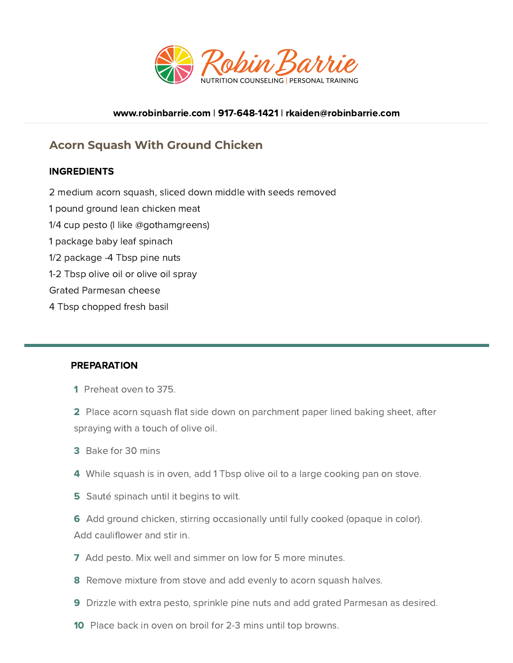

## [www.robinbarrie.com](https://www.robinbarrie.com/) | [917-648-1421](tel:9176481421) | [rkaiden@robinbarrie.com](mail:rkaiden@robinbarrie.coms)

## **Acorn Squash With Ground Chicken**

## INGREDIENTS

- 2 medium acorn squash, sliced down middle with seeds removed
- 1 pound ground lean chicken meat
- 1/4 cup pesto (I like @gothamgreens)
- 1 package baby leaf spinach
- 1/2 package -4 Tbsp pine nuts
- 1-2 Tbsp olive oil or olive oil spray
- Grated Parmesan cheese
- 4 Tbsp chopped fresh basil

## PREPARATION

- 1 Preheat oven to 375.
- 2 Place acorn squash flat side down on parchment paper lined baking sheet, after spraying with a touch of olive oil.
- 3 Bake for 30 mins
- 4 While squash is in oven, add 1 Tbsp olive oil to a large cooking pan on stove.
- **5** Sauté spinach until it begins to wilt.
- 6 Add ground chicken, stirring occasionally until fully cooked (opaque in color). Add cauliflower and stir in.
- 7 Add pesto. Mix well and simmer on low for 5 more minutes.
- 8 Remove mixture from stove and add evenly to acorn squash halves.
- 9 Drizzle with extra pesto, sprinkle pine nuts and add grated Parmesan as desired.
- 10 Place back in oven on broil for 2-3 mins until top browns.